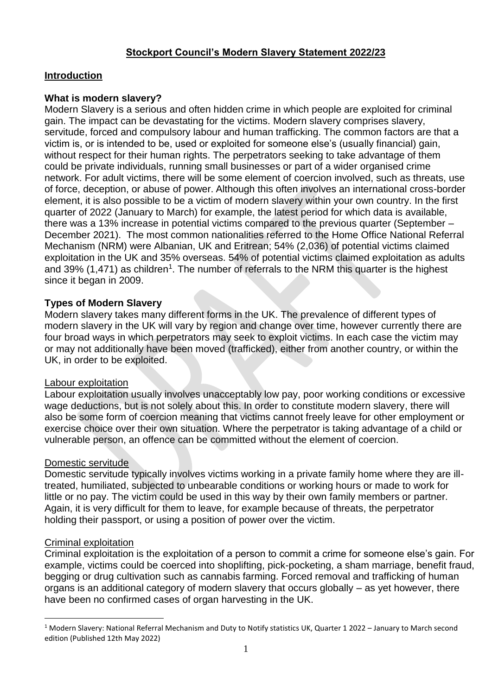# **Stockport Council's Modern Slavery Statement 2022/23**

# **Introduction**

# **What is modern slavery?**

Modern Slavery is a serious and often hidden crime in which people are exploited for criminal gain. The impact can be devastating for the victims. Modern slavery comprises slavery, servitude, forced and compulsory labour and human trafficking. The common factors are that a victim is, or is intended to be, used or exploited for someone else's (usually financial) gain, without respect for their human rights. The perpetrators seeking to take advantage of them could be private individuals, running small businesses or part of a wider organised crime network. For adult victims, there will be some element of coercion involved, such as threats, use of force, deception, or abuse of power. Although this often involves an international cross-border element, it is also possible to be a victim of modern slavery within your own country. In the first quarter of 2022 (January to March) for example, the latest period for which data is available, there was a 13% increase in potential victims compared to the previous quarter (September – December 2021). The most common nationalities referred to the Home Office National Referral Mechanism (NRM) were Albanian, UK and Eritrean; 54% (2,036) of potential victims claimed exploitation in the UK and 35% overseas. 54% of potential victims claimed exploitation as adults and 39% (1,471) as children<sup>1</sup>. The number of referrals to the NRM this quarter is the highest since it began in 2009.

## **Types of Modern Slavery**

Modern slavery takes many different forms in the UK. The prevalence of different types of modern slavery in the UK will vary by region and change over time, however currently there are four broad ways in which perpetrators may seek to exploit victims. In each case the victim may or may not additionally have been moved (trafficked), either from another country, or within the UK, in order to be exploited.

#### Labour exploitation

Labour exploitation usually involves unacceptably low pay, poor working conditions or excessive wage deductions, but is not solely about this. In order to constitute modern slavery, there will also be some form of coercion meaning that victims cannot freely leave for other employment or exercise choice over their own situation. Where the perpetrator is taking advantage of a child or vulnerable person, an offence can be committed without the element of coercion.

#### Domestic servitude

Domestic servitude typically involves victims working in a private family home where they are illtreated, humiliated, subjected to unbearable conditions or working hours or made to work for little or no pay. The victim could be used in this way by their own family members or partner. Again, it is very difficult for them to leave, for example because of threats, the perpetrator holding their passport, or using a position of power over the victim.

#### Criminal exploitation

 $\overline{a}$ 

Criminal exploitation is the exploitation of a person to commit a crime for someone else's gain. For example, victims could be coerced into shoplifting, pick-pocketing, a sham marriage, benefit fraud, begging or drug cultivation such as cannabis farming. Forced removal and trafficking of human organs is an additional category of modern slavery that occurs globally – as yet however, there have been no confirmed cases of organ harvesting in the UK.

<sup>&</sup>lt;sup>1</sup> Modern Slavery: National Referral Mechanism and Duty to Notify statistics UK, Quarter 1 2022 – January to March second edition (Published 12th May 2022)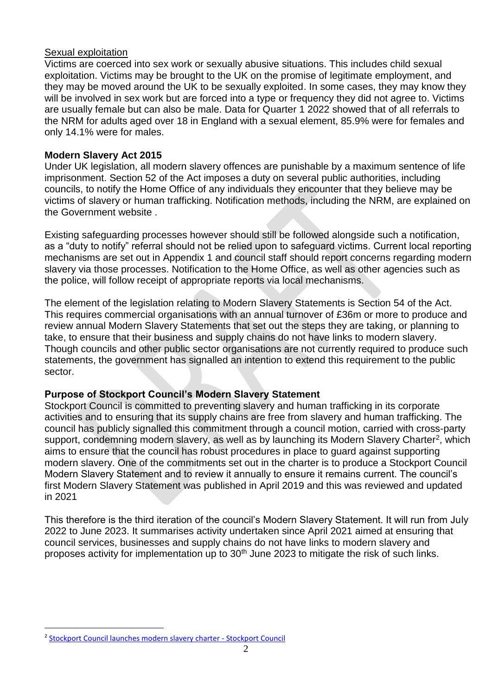#### Sexual exploitation

Victims are coerced into sex work or sexually abusive situations. This includes child sexual exploitation. Victims may be brought to the UK on the promise of legitimate employment, and they may be moved around the UK to be sexually exploited. In some cases, they may know they will be involved in sex work but are forced into a type or frequency they did not agree to. Victims are usually female but can also be male. Data for Quarter 1 2022 showed that of all referrals to the NRM for adults aged over 18 in England with a sexual element, 85.9% were for females and only 14.1% were for males.

### **Modern Slavery Act 2015**

Under UK legislation, all modern slavery offences are punishable by a maximum sentence of life imprisonment. Section 52 of the Act imposes a duty on several public authorities, including councils, to notify the Home Office of any individuals they encounter that they believe may be victims of slavery or human trafficking. Notification methods, including the NRM, are explained on the Government website .

Existing safeguarding processes however should still be followed alongside such a notification, as a "duty to notify" referral should not be relied upon to safeguard victims. Current local reporting mechanisms are set out in Appendix 1 and council staff should report concerns regarding modern slavery via those processes. Notification to the Home Office, as well as other agencies such as the police, will follow receipt of appropriate reports via local mechanisms.

The element of the legislation relating to Modern Slavery Statements is Section 54 of the Act. This requires commercial organisations with an annual turnover of £36m or more to produce and review annual Modern Slavery Statements that set out the steps they are taking, or planning to take, to ensure that their business and supply chains do not have links to modern slavery. Though councils and other public sector organisations are not currently required to produce such statements, the government has signalled an intention to extend this requirement to the public sector.

# **Purpose of Stockport Council's Modern Slavery Statement**

Stockport Council is committed to preventing slavery and human trafficking in its corporate activities and to ensuring that its supply chains are free from slavery and human trafficking. The council has publicly signalled this commitment through a council motion, carried with cross-party support, condemning modern slavery, as well as by launching its Modern Slavery Charter<sup>2</sup>, which aims to ensure that the council has robust procedures in place to guard against supporting modern slavery. One of the commitments set out in the charter is to produce a Stockport Council Modern Slavery Statement and to review it annually to ensure it remains current. The council's first Modern Slavery Statement was published in April 2019 and this was reviewed and updated in 2021

This therefore is the third iteration of the council's Modern Slavery Statement. It will run from July 2022 to June 2023. It summarises activity undertaken since April 2021 aimed at ensuring that council services, businesses and supply chains do not have links to modern slavery and proposes activity for implementation up to 30<sup>th</sup> June 2023 to mitigate the risk of such links.

 $\overline{a}$ 

<sup>&</sup>lt;sup>2</sup> [Stockport Council launches modern slavery charter -](https://www.stockport.gov.uk/news/stockport-council-launches-modern-slavery-charter) Stockport Council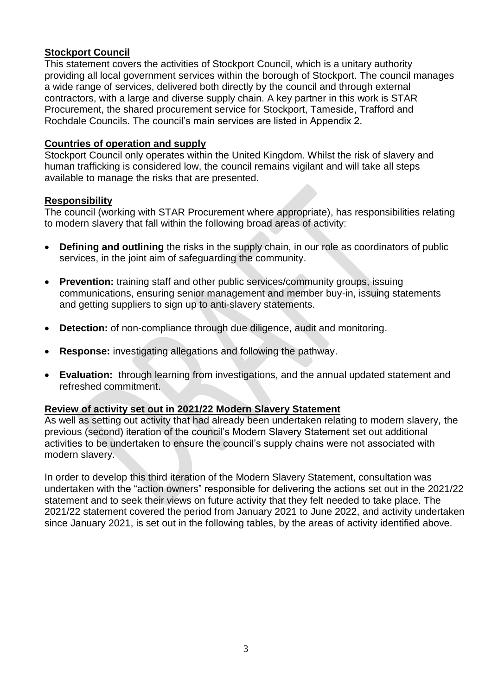# **Stockport Council**

This statement covers the activities of Stockport Council, which is a unitary authority providing all local government services within the borough of Stockport. The council manages a wide range of services, delivered both directly by the council and through external contractors, with a large and diverse supply chain. A key partner in this work is STAR Procurement, the shared procurement service for Stockport, Tameside, Trafford and Rochdale Councils. The council's main services are listed in Appendix 2.

## **Countries of operation and supply**

Stockport Council only operates within the United Kingdom. Whilst the risk of slavery and human trafficking is considered low, the council remains vigilant and will take all steps available to manage the risks that are presented.

## **Responsibility**

The council (working with STAR Procurement where appropriate), has responsibilities relating to modern slavery that fall within the following broad areas of activity:

- **Defining and outlining** the risks in the supply chain, in our role as coordinators of public services, in the joint aim of safeguarding the community.
- **Prevention:** training staff and other public services/community groups, issuing communications, ensuring senior management and member buy-in, issuing statements and getting suppliers to sign up to anti-slavery statements.
- **Detection:** of non-compliance through due diligence, audit and monitoring.
- **Response:** investigating allegations and following the pathway.
- **Evaluation:** through learning from investigations, and the annual updated statement and refreshed commitment.

# **Review of activity set out in 2021/22 Modern Slavery Statement**

As well as setting out activity that had already been undertaken relating to modern slavery, the previous (second) iteration of the council's Modern Slavery Statement set out additional activities to be undertaken to ensure the council's supply chains were not associated with modern slavery.

In order to develop this third iteration of the Modern Slavery Statement, consultation was undertaken with the "action owners" responsible for delivering the actions set out in the 2021/22 statement and to seek their views on future activity that they felt needed to take place. The 2021/22 statement covered the period from January 2021 to June 2022, and activity undertaken since January 2021, is set out in the following tables, by the areas of activity identified above.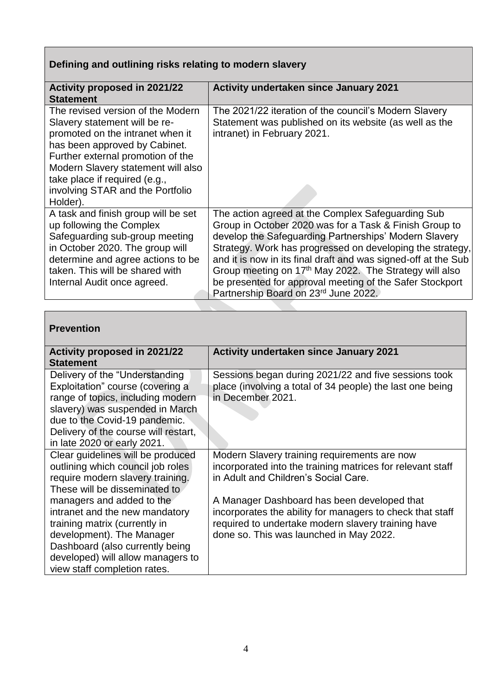# **Defining and outlining risks relating to modern slavery**

| Activity proposed in 2021/22<br><b>Statement</b>                                                                                                                                                                                                                                                    | Activity undertaken since January 2021                                                                                                                                                                                                                                                                                                                                                                                                                                        |
|-----------------------------------------------------------------------------------------------------------------------------------------------------------------------------------------------------------------------------------------------------------------------------------------------------|-------------------------------------------------------------------------------------------------------------------------------------------------------------------------------------------------------------------------------------------------------------------------------------------------------------------------------------------------------------------------------------------------------------------------------------------------------------------------------|
| The revised version of the Modern<br>Slavery statement will be re-<br>promoted on the intranet when it<br>has been approved by Cabinet.<br>Further external promotion of the<br>Modern Slavery statement will also<br>take place if required (e.g.,<br>involving STAR and the Portfolio<br>Holder). | The 2021/22 iteration of the council's Modern Slavery<br>Statement was published on its website (as well as the<br>intranet) in February 2021.                                                                                                                                                                                                                                                                                                                                |
| A task and finish group will be set<br>up following the Complex<br>Safeguarding sub-group meeting<br>in October 2020. The group will<br>determine and agree actions to be<br>taken. This will be shared with<br>Internal Audit once agreed.                                                         | The action agreed at the Complex Safeguarding Sub<br>Group in October 2020 was for a Task & Finish Group to<br>develop the Safeguarding Partnerships' Modern Slavery<br>Strategy. Work has progressed on developing the strategy,<br>and it is now in its final draft and was signed-off at the Sub<br>Group meeting on 17 <sup>th</sup> May 2022. The Strategy will also<br>be presented for approval meeting of the Safer Stockport<br>Partnership Board on 23rd June 2022. |

# **Prevention**

| <b>Activity proposed in 2021/22</b><br><b>Statement</b>             | <b>Activity undertaken since January 2021</b>                                                                     |
|---------------------------------------------------------------------|-------------------------------------------------------------------------------------------------------------------|
| Delivery of the "Understanding"<br>Exploitation" course (covering a | Sessions began during 2021/22 and five sessions took<br>place (involving a total of 34 people) the last one being |
| range of topics, including modern                                   | in December 2021.                                                                                                 |
| slavery) was suspended in March<br>due to the Covid-19 pandemic.    |                                                                                                                   |
| Delivery of the course will restart,                                |                                                                                                                   |
| in late 2020 or early 2021.                                         |                                                                                                                   |
| Clear guidelines will be produced                                   | Modern Slavery training requirements are now                                                                      |
| outlining which council job roles                                   | incorporated into the training matrices for relevant staff                                                        |
| require modern slavery training.                                    | in Adult and Children's Social Care.                                                                              |
| These will be disseminated to                                       |                                                                                                                   |
| managers and added to the                                           | A Manager Dashboard has been developed that                                                                       |
| intranet and the new mandatory                                      | incorporates the ability for managers to check that staff                                                         |
| training matrix (currently in                                       | required to undertake modern slavery training have                                                                |
| development). The Manager                                           | done so. This was launched in May 2022.                                                                           |
| Dashboard (also currently being                                     |                                                                                                                   |
| developed) will allow managers to                                   |                                                                                                                   |
| view staff completion rates.                                        |                                                                                                                   |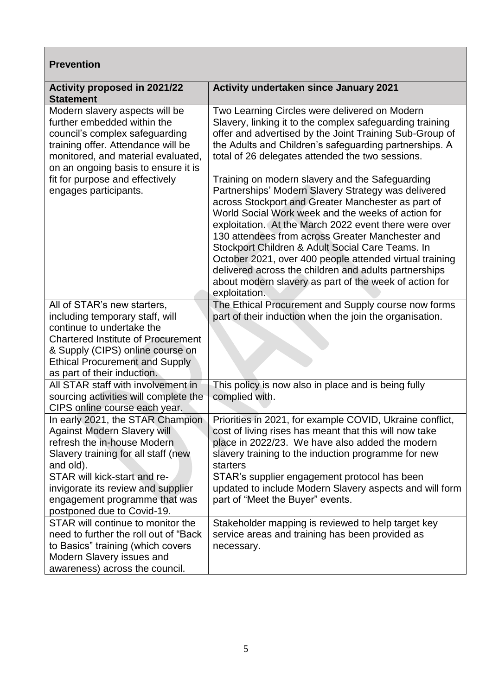# **Prevention**

| Activity proposed in 2021/22<br><b>Statement</b>                                                                                                                                                                   | Activity undertaken since January 2021                                                                                                                                                                                                                                                                                                                                                                                                                                                                                                                                             |
|--------------------------------------------------------------------------------------------------------------------------------------------------------------------------------------------------------------------|------------------------------------------------------------------------------------------------------------------------------------------------------------------------------------------------------------------------------------------------------------------------------------------------------------------------------------------------------------------------------------------------------------------------------------------------------------------------------------------------------------------------------------------------------------------------------------|
| Modern slavery aspects will be<br>further embedded within the<br>council's complex safeguarding<br>training offer. Attendance will be<br>monitored, and material evaluated,<br>on an ongoing basis to ensure it is | Two Learning Circles were delivered on Modern<br>Slavery, linking it to the complex safeguarding training<br>offer and advertised by the Joint Training Sub-Group of<br>the Adults and Children's safeguarding partnerships. A<br>total of 26 delegates attended the two sessions.                                                                                                                                                                                                                                                                                                 |
| fit for purpose and effectively<br>engages participants.                                                                                                                                                           | Training on modern slavery and the Safeguarding<br>Partnerships' Modern Slavery Strategy was delivered<br>across Stockport and Greater Manchester as part of<br>World Social Work week and the weeks of action for<br>exploitation. At the March 2022 event there were over<br>130 attendees from across Greater Manchester and<br>Stockport Children & Adult Social Care Teams. In<br>October 2021, over 400 people attended virtual training<br>delivered across the children and adults partnerships<br>about modern slavery as part of the week of action for<br>exploitation. |
| All of STAR's new starters,                                                                                                                                                                                        | The Ethical Procurement and Supply course now forms                                                                                                                                                                                                                                                                                                                                                                                                                                                                                                                                |
| including temporary staff, will<br>continue to undertake the                                                                                                                                                       | part of their induction when the join the organisation.                                                                                                                                                                                                                                                                                                                                                                                                                                                                                                                            |
| <b>Chartered Institute of Procurement</b>                                                                                                                                                                          |                                                                                                                                                                                                                                                                                                                                                                                                                                                                                                                                                                                    |
| & Supply (CIPS) online course on                                                                                                                                                                                   |                                                                                                                                                                                                                                                                                                                                                                                                                                                                                                                                                                                    |
| <b>Ethical Procurement and Supply</b>                                                                                                                                                                              |                                                                                                                                                                                                                                                                                                                                                                                                                                                                                                                                                                                    |
| as part of their induction.                                                                                                                                                                                        |                                                                                                                                                                                                                                                                                                                                                                                                                                                                                                                                                                                    |
| All STAR staff with involvement in                                                                                                                                                                                 | This policy is now also in place and is being fully                                                                                                                                                                                                                                                                                                                                                                                                                                                                                                                                |
| sourcing activities will complete the                                                                                                                                                                              | complied with.                                                                                                                                                                                                                                                                                                                                                                                                                                                                                                                                                                     |
| CIPS online course each year.                                                                                                                                                                                      |                                                                                                                                                                                                                                                                                                                                                                                                                                                                                                                                                                                    |
| In early 2021, the STAR Champion<br><b>Against Modern Slavery will</b>                                                                                                                                             | Priorities in 2021, for example COVID, Ukraine conflict,<br>cost of living rises has meant that this will now take                                                                                                                                                                                                                                                                                                                                                                                                                                                                 |
| refresh the in-house Modern                                                                                                                                                                                        | place in 2022/23. We have also added the modern                                                                                                                                                                                                                                                                                                                                                                                                                                                                                                                                    |
| Slavery training for all staff (new                                                                                                                                                                                | slavery training to the induction programme for new                                                                                                                                                                                                                                                                                                                                                                                                                                                                                                                                |
| and old).                                                                                                                                                                                                          | starters                                                                                                                                                                                                                                                                                                                                                                                                                                                                                                                                                                           |
| STAR will kick-start and re-                                                                                                                                                                                       | STAR's supplier engagement protocol has been                                                                                                                                                                                                                                                                                                                                                                                                                                                                                                                                       |
| invigorate its review and supplier                                                                                                                                                                                 | updated to include Modern Slavery aspects and will form                                                                                                                                                                                                                                                                                                                                                                                                                                                                                                                            |
| engagement programme that was                                                                                                                                                                                      | part of "Meet the Buyer" events.                                                                                                                                                                                                                                                                                                                                                                                                                                                                                                                                                   |
| postponed due to Covid-19.                                                                                                                                                                                         |                                                                                                                                                                                                                                                                                                                                                                                                                                                                                                                                                                                    |
| STAR will continue to monitor the<br>need to further the roll out of "Back                                                                                                                                         | Stakeholder mapping is reviewed to help target key                                                                                                                                                                                                                                                                                                                                                                                                                                                                                                                                 |
| to Basics" training (which covers                                                                                                                                                                                  | service areas and training has been provided as<br>necessary.                                                                                                                                                                                                                                                                                                                                                                                                                                                                                                                      |
| Modern Slavery issues and                                                                                                                                                                                          |                                                                                                                                                                                                                                                                                                                                                                                                                                                                                                                                                                                    |
| awareness) across the council.                                                                                                                                                                                     |                                                                                                                                                                                                                                                                                                                                                                                                                                                                                                                                                                                    |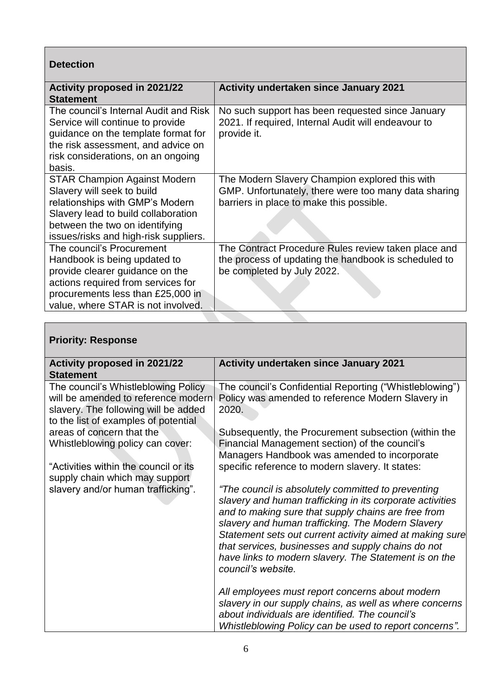| <b>Detection</b>                                                                                                                                                                                                       |                                                                                                                                                    |
|------------------------------------------------------------------------------------------------------------------------------------------------------------------------------------------------------------------------|----------------------------------------------------------------------------------------------------------------------------------------------------|
| <b>Activity proposed in 2021/22</b><br><b>Statement</b>                                                                                                                                                                | <b>Activity undertaken since January 2021</b>                                                                                                      |
| The council's Internal Audit and Risk<br>Service will continue to provide<br>guidance on the template format for<br>the risk assessment, and advice on<br>risk considerations, on an ongoing<br>basis.                 | No such support has been requested since January<br>2021. If required, Internal Audit will endeavour to<br>provide it.                             |
| <b>STAR Champion Against Modern</b><br>Slavery will seek to build<br>relationships with GMP's Modern<br>Slavery lead to build collaboration<br>between the two on identifying<br>issues/risks and high-risk suppliers. | The Modern Slavery Champion explored this with<br>GMP. Unfortunately, there were too many data sharing<br>barriers in place to make this possible. |
| The council's Procurement<br>Handbook is being updated to<br>provide clearer guidance on the<br>actions required from services for<br>procurements less than £25,000 in<br>value, where STAR is not involved.          | The Contract Procedure Rules review taken place and<br>the process of updating the handbook is scheduled to<br>be completed by July 2022.          |

 $\overline{\phantom{0}}$ 

| <b>Priority: Response</b>                                                                                                                                  |                                                                                                                                                                                                                                                                                                                                                                                                                              |
|------------------------------------------------------------------------------------------------------------------------------------------------------------|------------------------------------------------------------------------------------------------------------------------------------------------------------------------------------------------------------------------------------------------------------------------------------------------------------------------------------------------------------------------------------------------------------------------------|
| <b>Activity proposed in 2021/22</b>                                                                                                                        | Activity undertaken since January 2021                                                                                                                                                                                                                                                                                                                                                                                       |
| <b>Statement</b>                                                                                                                                           |                                                                                                                                                                                                                                                                                                                                                                                                                              |
| The council's Whistleblowing Policy<br>will be amended to reference modern<br>slavery. The following will be added<br>to the list of examples of potential | The council's Confidential Reporting ("Whistleblowing")<br>Policy was amended to reference Modern Slavery in<br>2020.                                                                                                                                                                                                                                                                                                        |
| areas of concern that the                                                                                                                                  | Subsequently, the Procurement subsection (within the                                                                                                                                                                                                                                                                                                                                                                         |
| Whistleblowing policy can cover:                                                                                                                           | Financial Management section) of the council's<br>Managers Handbook was amended to incorporate                                                                                                                                                                                                                                                                                                                               |
| "Activities within the council or its<br>supply chain which may support                                                                                    | specific reference to modern slavery. It states:                                                                                                                                                                                                                                                                                                                                                                             |
| slavery and/or human trafficking".                                                                                                                         | "The council is absolutely committed to preventing<br>slavery and human trafficking in its corporate activities<br>and to making sure that supply chains are free from<br>slavery and human trafficking. The Modern Slavery<br>Statement sets out current activity aimed at making sure<br>that services, businesses and supply chains do not<br>have links to modern slavery. The Statement is on the<br>council's website. |
|                                                                                                                                                            | All employees must report concerns about modern<br>slavery in our supply chains, as well as where concerns<br>about individuals are identified. The council's<br>Whistleblowing Policy can be used to report concerns".                                                                                                                                                                                                      |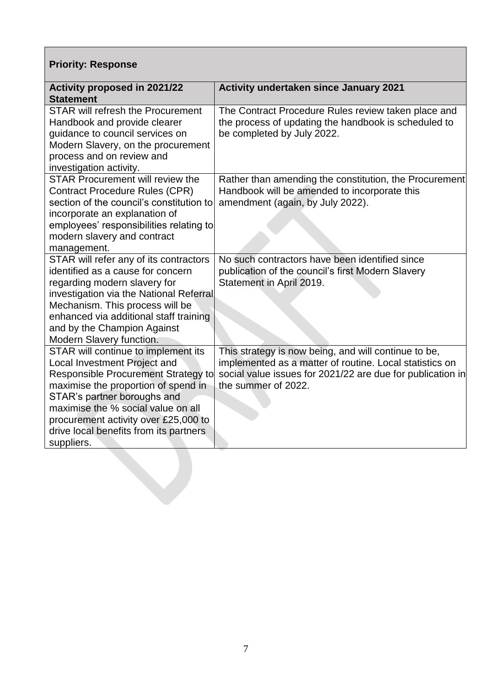# **Priority: Response**

| <b>Activity proposed in 2021/22</b><br><b>Statement</b>                                                                                                                                                                                                                                                                       | <b>Activity undertaken since January 2021</b>                                                                                                                                                        |
|-------------------------------------------------------------------------------------------------------------------------------------------------------------------------------------------------------------------------------------------------------------------------------------------------------------------------------|------------------------------------------------------------------------------------------------------------------------------------------------------------------------------------------------------|
| <b>STAR will refresh the Procurement</b><br>Handbook and provide clearer<br>guidance to council services on<br>Modern Slavery, on the procurement<br>process and on review and<br>investigation activity.                                                                                                                     | The Contract Procedure Rules review taken place and<br>the process of updating the handbook is scheduled to<br>be completed by July 2022.                                                            |
| <b>STAR Procurement will review the</b><br><b>Contract Procedure Rules (CPR)</b><br>section of the council's constitution to<br>incorporate an explanation of<br>employees' responsibilities relating to<br>modern slavery and contract<br>management.                                                                        | Rather than amending the constitution, the Procurement<br>Handbook will be amended to incorporate this<br>amendment (again, by July 2022).                                                           |
| STAR will refer any of its contractors<br>identified as a cause for concern<br>regarding modern slavery for<br>investigation via the National Referral<br>Mechanism. This process will be<br>enhanced via additional staff training<br>and by the Champion Against<br>Modern Slavery function.                                | No such contractors have been identified since<br>publication of the council's first Modern Slavery<br>Statement in April 2019.                                                                      |
| STAR will continue to implement its<br>Local Investment Project and<br><b>Responsible Procurement Strategy to</b><br>maximise the proportion of spend in<br>STAR's partner boroughs and<br>maximise the % social value on all<br>procurement activity over £25,000 to<br>drive local benefits from its partners<br>suppliers. | This strategy is now being, and will continue to be,<br>implemented as a matter of routine. Local statistics on<br>social value issues for 2021/22 are due for publication in<br>the summer of 2022. |
|                                                                                                                                                                                                                                                                                                                               |                                                                                                                                                                                                      |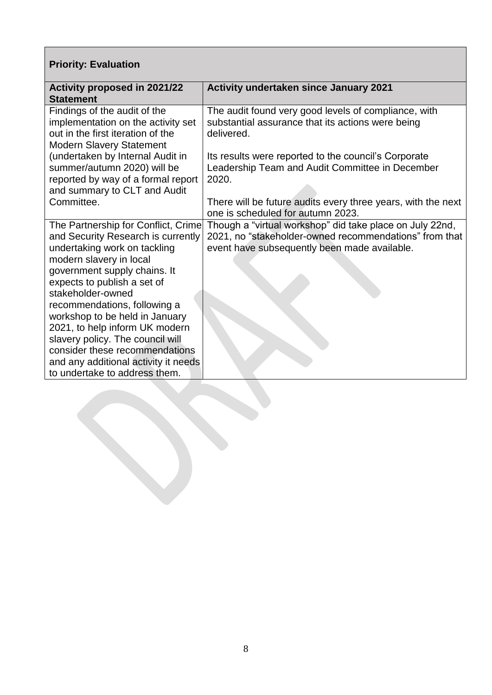# **Priority: Evaluation**

| <b>Activity undertaken since January 2021</b><br>Activity proposed in 2021/22<br><b>Statement</b><br>Findings of the audit of the<br>The audit found very good levels of compliance, with<br>implementation on the activity set<br>substantial assurance that its actions were being<br>out in the first iteration of the<br>delivered.<br><b>Modern Slavery Statement</b><br>(undertaken by Internal Audit in<br>Its results were reported to the council's Corporate<br>summer/autumn 2020) will be<br>Leadership Team and Audit Committee in December<br>reported by way of a formal report<br>2020.<br>and summary to CLT and Audit<br>Committee.<br>There will be future audits every three years, with the next<br>one is scheduled for autumn 2023. |
|------------------------------------------------------------------------------------------------------------------------------------------------------------------------------------------------------------------------------------------------------------------------------------------------------------------------------------------------------------------------------------------------------------------------------------------------------------------------------------------------------------------------------------------------------------------------------------------------------------------------------------------------------------------------------------------------------------------------------------------------------------|
|                                                                                                                                                                                                                                                                                                                                                                                                                                                                                                                                                                                                                                                                                                                                                            |
|                                                                                                                                                                                                                                                                                                                                                                                                                                                                                                                                                                                                                                                                                                                                                            |
|                                                                                                                                                                                                                                                                                                                                                                                                                                                                                                                                                                                                                                                                                                                                                            |
|                                                                                                                                                                                                                                                                                                                                                                                                                                                                                                                                                                                                                                                                                                                                                            |
|                                                                                                                                                                                                                                                                                                                                                                                                                                                                                                                                                                                                                                                                                                                                                            |
|                                                                                                                                                                                                                                                                                                                                                                                                                                                                                                                                                                                                                                                                                                                                                            |
|                                                                                                                                                                                                                                                                                                                                                                                                                                                                                                                                                                                                                                                                                                                                                            |
|                                                                                                                                                                                                                                                                                                                                                                                                                                                                                                                                                                                                                                                                                                                                                            |
|                                                                                                                                                                                                                                                                                                                                                                                                                                                                                                                                                                                                                                                                                                                                                            |
|                                                                                                                                                                                                                                                                                                                                                                                                                                                                                                                                                                                                                                                                                                                                                            |
|                                                                                                                                                                                                                                                                                                                                                                                                                                                                                                                                                                                                                                                                                                                                                            |
| The Partnership for Conflict, Crime<br>Though a "virtual workshop" did take place on July 22nd,                                                                                                                                                                                                                                                                                                                                                                                                                                                                                                                                                                                                                                                            |
| 2021, no "stakeholder-owned recommendations" from that<br>and Security Research is currently                                                                                                                                                                                                                                                                                                                                                                                                                                                                                                                                                                                                                                                               |
| undertaking work on tackling<br>event have subsequently been made available.                                                                                                                                                                                                                                                                                                                                                                                                                                                                                                                                                                                                                                                                               |
| modern slavery in local                                                                                                                                                                                                                                                                                                                                                                                                                                                                                                                                                                                                                                                                                                                                    |
| government supply chains. It                                                                                                                                                                                                                                                                                                                                                                                                                                                                                                                                                                                                                                                                                                                               |
| expects to publish a set of                                                                                                                                                                                                                                                                                                                                                                                                                                                                                                                                                                                                                                                                                                                                |
| stakeholder-owned                                                                                                                                                                                                                                                                                                                                                                                                                                                                                                                                                                                                                                                                                                                                          |
| recommendations, following a                                                                                                                                                                                                                                                                                                                                                                                                                                                                                                                                                                                                                                                                                                                               |
| workshop to be held in January                                                                                                                                                                                                                                                                                                                                                                                                                                                                                                                                                                                                                                                                                                                             |
| 2021, to help inform UK modern                                                                                                                                                                                                                                                                                                                                                                                                                                                                                                                                                                                                                                                                                                                             |
| slavery policy. The council will                                                                                                                                                                                                                                                                                                                                                                                                                                                                                                                                                                                                                                                                                                                           |
| consider these recommendations                                                                                                                                                                                                                                                                                                                                                                                                                                                                                                                                                                                                                                                                                                                             |
| and any additional activity it needs                                                                                                                                                                                                                                                                                                                                                                                                                                                                                                                                                                                                                                                                                                                       |
| to undertake to address them.                                                                                                                                                                                                                                                                                                                                                                                                                                                                                                                                                                                                                                                                                                                              |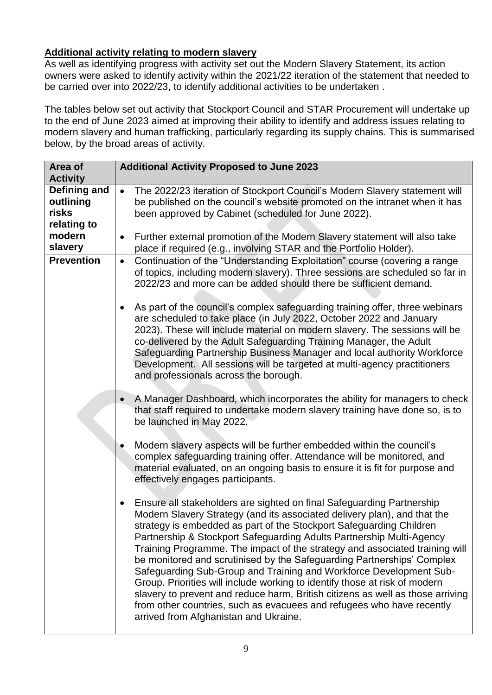# **Additional activity relating to modern slavery**

As well as identifying progress with activity set out the Modern Slavery Statement, its action owners were asked to identify activity within the 2021/22 iteration of the statement that needed to be carried over into 2022/23, to identify additional activities to be undertaken .

The tables below set out activity that Stockport Council and STAR Procurement will undertake up to the end of June 2023 aimed at improving their ability to identify and address issues relating to modern slavery and human trafficking, particularly regarding its supply chains. This is summarised below, by the broad areas of activity.

| Area of                                               | <b>Additional Activity Proposed to June 2023</b>                                                                                                                                                                                                                                                                                                                                                                                                                                                                                                                                                                                                                                                                                                                                                                               |
|-------------------------------------------------------|--------------------------------------------------------------------------------------------------------------------------------------------------------------------------------------------------------------------------------------------------------------------------------------------------------------------------------------------------------------------------------------------------------------------------------------------------------------------------------------------------------------------------------------------------------------------------------------------------------------------------------------------------------------------------------------------------------------------------------------------------------------------------------------------------------------------------------|
| <b>Activity</b><br>Defining and<br>outlining<br>risks | The 2022/23 iteration of Stockport Council's Modern Slavery statement will<br>$\bullet$<br>be published on the council's website promoted on the intranet when it has<br>been approved by Cabinet (scheduled for June 2022).                                                                                                                                                                                                                                                                                                                                                                                                                                                                                                                                                                                                   |
| relating to<br>modern<br>slavery                      | Further external promotion of the Modern Slavery statement will also take<br>٠<br>place if required (e.g., involving STAR and the Portfolio Holder).                                                                                                                                                                                                                                                                                                                                                                                                                                                                                                                                                                                                                                                                           |
| <b>Prevention</b>                                     | Continuation of the "Understanding Exploitation" course (covering a range<br>$\bullet$<br>of topics, including modern slavery). Three sessions are scheduled so far in<br>2022/23 and more can be added should there be sufficient demand.                                                                                                                                                                                                                                                                                                                                                                                                                                                                                                                                                                                     |
|                                                       | As part of the council's complex safeguarding training offer, three webinars<br>$\bullet$<br>are scheduled to take place (in July 2022, October 2022 and January<br>2023). These will include material on modern slavery. The sessions will be<br>co-delivered by the Adult Safeguarding Training Manager, the Adult<br>Safeguarding Partnership Business Manager and local authority Workforce<br>Development. All sessions will be targeted at multi-agency practitioners<br>and professionals across the borough.                                                                                                                                                                                                                                                                                                           |
|                                                       | A Manager Dashboard, which incorporates the ability for managers to check<br>$\bullet$<br>that staff required to undertake modern slavery training have done so, is to<br>be launched in May 2022.                                                                                                                                                                                                                                                                                                                                                                                                                                                                                                                                                                                                                             |
|                                                       | Modern slavery aspects will be further embedded within the council's<br>٠<br>complex safeguarding training offer. Attendance will be monitored, and<br>material evaluated, on an ongoing basis to ensure it is fit for purpose and<br>effectively engages participants.                                                                                                                                                                                                                                                                                                                                                                                                                                                                                                                                                        |
|                                                       | Ensure all stakeholders are sighted on final Safeguarding Partnership<br>$\bullet$<br>Modern Slavery Strategy (and its associated delivery plan), and that the<br>strategy is embedded as part of the Stockport Safeguarding Children<br>Partnership & Stockport Safeguarding Adults Partnership Multi-Agency<br>Training Programme. The impact of the strategy and associated training will<br>be monitored and scrutinised by the Safeguarding Partnerships' Complex<br>Safeguarding Sub-Group and Training and Workforce Development Sub-<br>Group. Priorities will include working to identify those at risk of modern<br>slavery to prevent and reduce harm, British citizens as well as those arriving<br>from other countries, such as evacuees and refugees who have recently<br>arrived from Afghanistan and Ukraine. |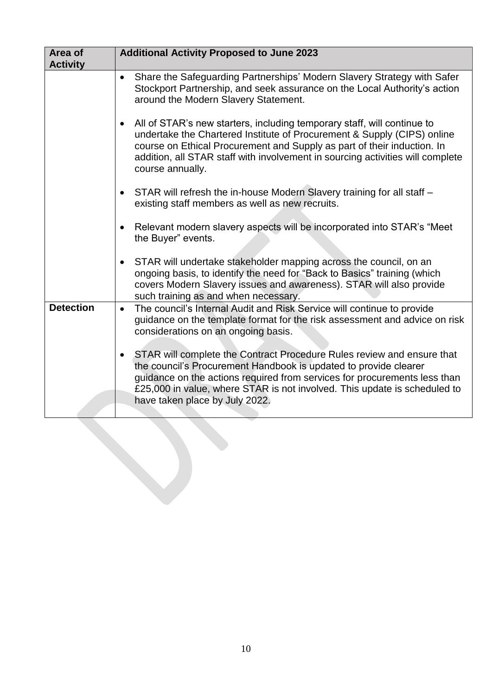| Area of<br><b>Activity</b> | <b>Additional Activity Proposed to June 2023</b>                                                                                                                                                                                                                                                                                                    |
|----------------------------|-----------------------------------------------------------------------------------------------------------------------------------------------------------------------------------------------------------------------------------------------------------------------------------------------------------------------------------------------------|
|                            | Share the Safeguarding Partnerships' Modern Slavery Strategy with Safer<br>$\bullet$<br>Stockport Partnership, and seek assurance on the Local Authority's action<br>around the Modern Slavery Statement.                                                                                                                                           |
|                            | All of STAR's new starters, including temporary staff, will continue to<br>$\bullet$<br>undertake the Chartered Institute of Procurement & Supply (CIPS) online<br>course on Ethical Procurement and Supply as part of their induction. In<br>addition, all STAR staff with involvement in sourcing activities will complete<br>course annually.    |
|                            | STAR will refresh the in-house Modern Slavery training for all staff -<br>$\bullet$<br>existing staff members as well as new recruits.                                                                                                                                                                                                              |
|                            | Relevant modern slavery aspects will be incorporated into STAR's "Meet<br>$\bullet$<br>the Buyer" events.                                                                                                                                                                                                                                           |
|                            | STAR will undertake stakeholder mapping across the council, on an<br>$\bullet$<br>ongoing basis, to identify the need for "Back to Basics" training (which<br>covers Modern Slavery issues and awareness). STAR will also provide<br>such training as and when necessary.                                                                           |
| <b>Detection</b>           | The council's Internal Audit and Risk Service will continue to provide<br>$\bullet$<br>guidance on the template format for the risk assessment and advice on risk<br>considerations on an ongoing basis.                                                                                                                                            |
|                            | STAR will complete the Contract Procedure Rules review and ensure that<br>$\bullet$<br>the council's Procurement Handbook is updated to provide clearer<br>guidance on the actions required from services for procurements less than<br>£25,000 in value, where STAR is not involved. This update is scheduled to<br>have taken place by July 2022. |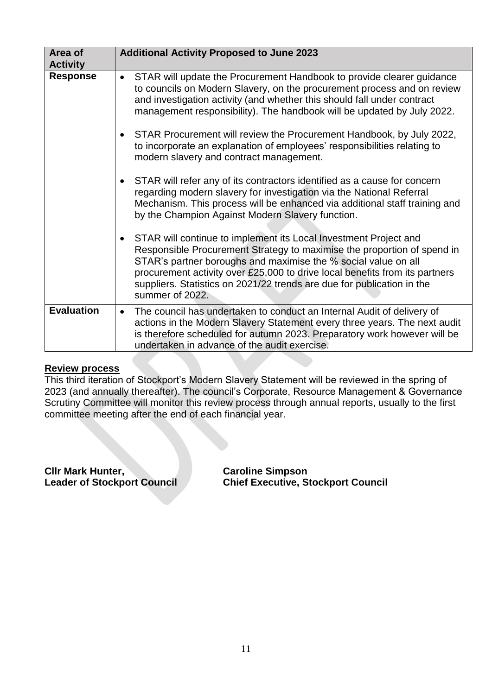| Area of           | <b>Additional Activity Proposed to June 2023</b>                                                                                                                                                                                                                                                                                                                                                       |
|-------------------|--------------------------------------------------------------------------------------------------------------------------------------------------------------------------------------------------------------------------------------------------------------------------------------------------------------------------------------------------------------------------------------------------------|
| <b>Activity</b>   |                                                                                                                                                                                                                                                                                                                                                                                                        |
| <b>Response</b>   | STAR will update the Procurement Handbook to provide clearer guidance<br>$\bullet$<br>to councils on Modern Slavery, on the procurement process and on review<br>and investigation activity (and whether this should fall under contract<br>management responsibility). The handbook will be updated by July 2022.                                                                                     |
|                   | STAR Procurement will review the Procurement Handbook, by July 2022,<br>$\bullet$<br>to incorporate an explanation of employees' responsibilities relating to<br>modern slavery and contract management.                                                                                                                                                                                               |
|                   | STAR will refer any of its contractors identified as a cause for concern<br>$\bullet$<br>regarding modern slavery for investigation via the National Referral<br>Mechanism. This process will be enhanced via additional staff training and<br>by the Champion Against Modern Slavery function.                                                                                                        |
|                   | STAR will continue to implement its Local Investment Project and<br>$\bullet$<br>Responsible Procurement Strategy to maximise the proportion of spend in<br>STAR's partner boroughs and maximise the % social value on all<br>procurement activity over £25,000 to drive local benefits from its partners<br>suppliers. Statistics on 2021/22 trends are due for publication in the<br>summer of 2022. |
| <b>Evaluation</b> | The council has undertaken to conduct an Internal Audit of delivery of<br>$\bullet$<br>actions in the Modern Slavery Statement every three years. The next audit<br>is therefore scheduled for autumn 2023. Preparatory work however will be<br>undertaken in advance of the audit exercise.                                                                                                           |

#### **Review process**

This third iteration of Stockport's Modern Slavery Statement will be reviewed in the spring of 2023 (and annually thereafter). The council's Corporate, Resource Management & Governance Scrutiny Committee will monitor this review process through annual reports, usually to the first committee meeting after the end of each financial year.

**Clir Mark Hunter, Caroline Simpson<br>
Leader of Stockport Council Constant Construction Chief Executive, St** 

**Chief Executive, Stockport Council**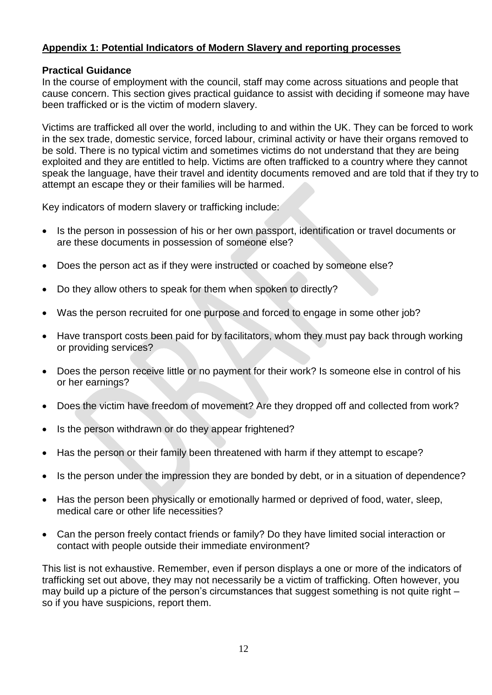## **Appendix 1: Potential Indicators of Modern Slavery and reporting processes**

#### **Practical Guidance**

In the course of employment with the council, staff may come across situations and people that cause concern. This section gives practical guidance to assist with deciding if someone may have been trafficked or is the victim of modern slavery.

Victims are trafficked all over the world, including to and within the UK. They can be forced to work in the sex trade, domestic service, forced labour, criminal activity or have their organs removed to be sold. There is no typical victim and sometimes victims do not understand that they are being exploited and they are entitled to help. Victims are often trafficked to a country where they cannot speak the language, have their travel and identity documents removed and are told that if they try to attempt an escape they or their families will be harmed.

Key indicators of modern slavery or trafficking include:

- Is the person in possession of his or her own passport, identification or travel documents or are these documents in possession of someone else?
- Does the person act as if they were instructed or coached by someone else?
- Do they allow others to speak for them when spoken to directly?
- Was the person recruited for one purpose and forced to engage in some other job?
- Have transport costs been paid for by facilitators, whom they must pay back through working or providing services?
- Does the person receive little or no payment for their work? Is someone else in control of his or her earnings?
- Does the victim have freedom of movement? Are they dropped off and collected from work?
- Is the person withdrawn or do they appear frightened?
- Has the person or their family been threatened with harm if they attempt to escape?
- Is the person under the impression they are bonded by debt, or in a situation of dependence?
- Has the person been physically or emotionally harmed or deprived of food, water, sleep, medical care or other life necessities?
- Can the person freely contact friends or family? Do they have limited social interaction or contact with people outside their immediate environment?

This list is not exhaustive. Remember, even if person displays a one or more of the indicators of trafficking set out above, they may not necessarily be a victim of trafficking. Often however, you may build up a picture of the person's circumstances that suggest something is not quite right – so if you have suspicions, report them.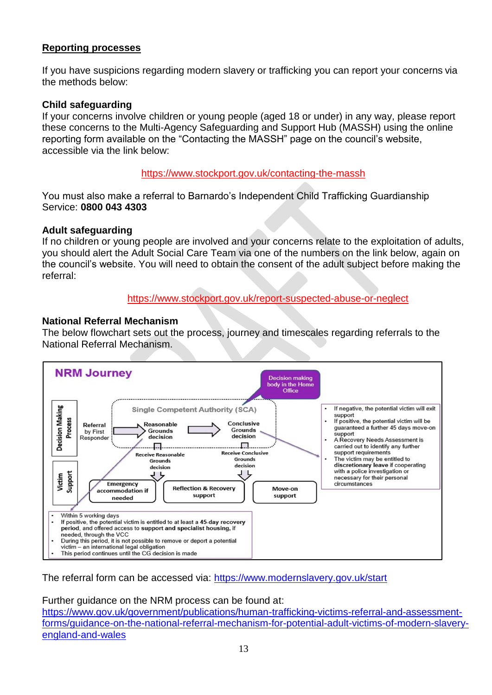## **Reporting processes**

If you have suspicions regarding modern slavery or trafficking you can report your concerns via the methods below:

#### **Child safeguarding**

If your concerns involve children or young people (aged 18 or under) in any way, please report these concerns to the Multi-Agency Safeguarding and Support Hub (MASSH) using the online reporting form available on the "Contacting the MASSH" page on the council's website, accessible via the link below:

#### <https://www.stockport.gov.uk/contacting-the-massh>

You must also make a referral to Barnardo's Independent Child Trafficking Guardianship Service: **0800 043 4303**

#### **Adult safeguarding**

If no children or young people are involved and your concerns relate to the exploitation of adults, you should alert the Adult Social Care Team via one of the numbers on the link below, again on the council's website. You will need to obtain the consent of the adult subject before making the referral:

#### <https://www.stockport.gov.uk/report-suspected-abuse-or-neglect>

### **National Referral Mechanism**

The below flowchart sets out the process, journey and timescales regarding referrals to the National Referral Mechanism.



The referral form can be accessed via:<https://www.modernslavery.gov.uk/start>

Further guidance on the NRM process can be found at:

[https://www.gov.uk/government/publications/human-trafficking-victims-referral-and-assessment](https://www.gov.uk/government/publications/human-trafficking-victims-referral-and-assessment-forms/guidance-on-the-national-referral-mechanism-for-potential-adult-victims-of-modern-slavery-england-and-wales)[forms/guidance-on-the-national-referral-mechanism-for-potential-adult-victims-of-modern-slavery](https://www.gov.uk/government/publications/human-trafficking-victims-referral-and-assessment-forms/guidance-on-the-national-referral-mechanism-for-potential-adult-victims-of-modern-slavery-england-and-wales)[england-and-wales](https://www.gov.uk/government/publications/human-trafficking-victims-referral-and-assessment-forms/guidance-on-the-national-referral-mechanism-for-potential-adult-victims-of-modern-slavery-england-and-wales)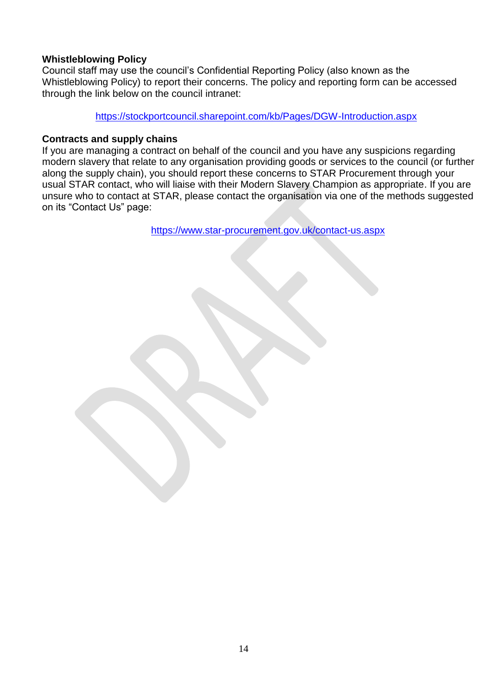## **Whistleblowing Policy**

Council staff may use the council's Confidential Reporting Policy (also known as the Whistleblowing Policy) to report their concerns. The policy and reporting form can be accessed through the link below on the council intranet:

<https://stockportcouncil.sharepoint.com/kb/Pages/DGW-Introduction.aspx>

#### **Contracts and supply chains**

If you are managing a contract on behalf of the council and you have any suspicions regarding modern slavery that relate to any organisation providing goods or services to the council (or further along the supply chain), you should report these concerns to STAR Procurement through your usual STAR contact, who will liaise with their Modern Slavery Champion as appropriate. If you are unsure who to contact at STAR, please contact the organisation via one of the methods suggested on its "Contact Us" page:

<https://www.star-procurement.gov.uk/contact-us.aspx>